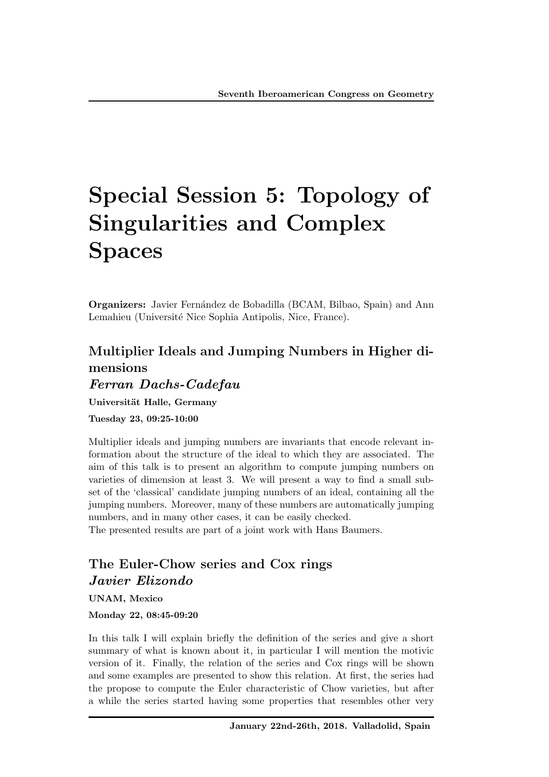# Special Session 5: Topology of Singularities and Complex Spaces

**Organizers:** Javier Fernández de Bobadilla (BCAM, Bilbao, Spain) and Ann Lemahieu (Université Nice Sophia Antipolis, Nice, France).

## Multiplier Ideals and Jumping Numbers in Higher dimensions *Ferran Dachs-Cadefau*

Universität Halle, Germany

Tuesday 23, 09:25-10:00

Multiplier ideals and jumping numbers are invariants that encode relevant information about the structure of the ideal to which they are associated. The aim of this talk is to present an algorithm to compute jumping numbers on varieties of dimension at least 3. We will present a way to find a small subset of the 'classical' candidate jumping numbers of an ideal, containing all the jumping numbers. Moreover, many of these numbers are automatically jumping numbers, and in many other cases, it can be easily checked.

The presented results are part of a joint work with Hans Baumers.

## The Euler-Chow series and Cox rings *Javier Elizondo*

UNAM, Mexico

Monday 22, 08:45-09:20

In this talk I will explain briefly the definition of the series and give a short summary of what is known about it, in particular I will mention the motivic version of it. Finally, the relation of the series and Cox rings will be shown and some examples are presented to show this relation. At first, the series had the propose to compute the Euler characteristic of Chow varieties, but after a while the series started having some properties that resembles other very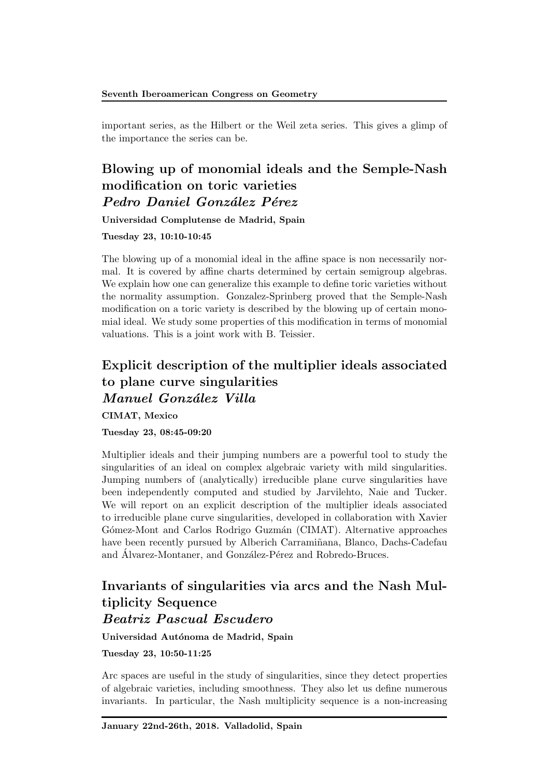important series, as the Hilbert or the Weil zeta series. This gives a glimp of the importance the series can be.

#### Blowing up of monomial ideals and the Semple-Nash modification on toric varieties *Pedro Daniel Gonz´alez P´erez*

Universidad Complutense de Madrid, Spain

Tuesday 23, 10:10-10:45

The blowing up of a monomial ideal in the affine space is non necessarily normal. It is covered by affine charts determined by certain semigroup algebras. We explain how one can generalize this example to define toric varieties without the normality assumption. Gonzalez-Sprinberg proved that the Semple-Nash modification on a toric variety is described by the blowing up of certain monomial ideal. We study some properties of this modification in terms of monomial valuations. This is a joint work with B. Teissier.

## Explicit description of the multiplier ideals associated to plane curve singularities *Manuel Gonz´alez Villa*

CIMAT, Mexico

#### Tuesday 23, 08:45-09:20

Multiplier ideals and their jumping numbers are a powerful tool to study the singularities of an ideal on complex algebraic variety with mild singularities. Jumping numbers of (analytically) irreducible plane curve singularities have been independently computed and studied by Jarvilehto, Naie and Tucker. We will report on an explicit description of the multiplier ideals associated to irreducible plane curve singularities, developed in collaboration with Xavier Gómez-Mont and Carlos Rodrigo Guzmán (CIMAT). Alternative approaches have been recently pursued by Alberich Carramiñana, Blanco, Dachs-Cadefau and Álvarez-Montaner, and González-Pérez and Robredo-Bruces.

#### Invariants of singularities via arcs and the Nash Multiplicity Sequence *Beatriz Pascual Escudero*

Universidad Autónoma de Madrid, Spain

Tuesday 23, 10:50-11:25

Arc spaces are useful in the study of singularities, since they detect properties of algebraic varieties, including smoothness. They also let us define numerous invariants. In particular, the Nash multiplicity sequence is a non-increasing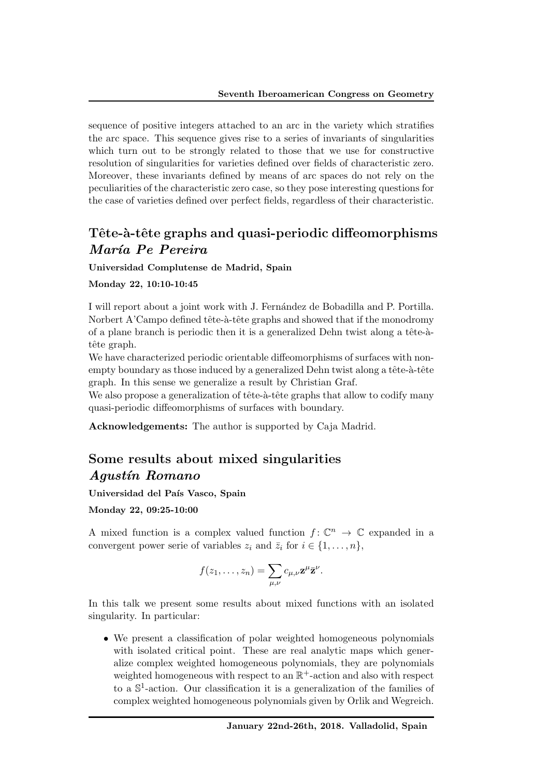sequence of positive integers attached to an arc in the variety which stratifies the arc space. This sequence gives rise to a series of invariants of singularities which turn out to be strongly related to those that we use for constructive resolution of singularities for varieties defined over fields of characteristic zero. Moreover, these invariants defined by means of arc spaces do not rely on the peculiarities of the characteristic zero case, so they pose interesting questions for the case of varieties defined over perfect fields, regardless of their characteristic.

#### Tête-à-tête graphs and quasi-periodic diffeomorphisms *Mar´ıa Pe Pereira*

Universidad Complutense de Madrid, Spain

#### Monday 22, 10:10-10:45

I will report about a joint work with J. Fern´andez de Bobadilla and P. Portilla. Norbert A'Campo defined tête-à-tête graphs and showed that if the monodromy of a plane branch is periodic then it is a generalized Dehn twist along a tête- $\lambda$ tête graph.

We have characterized periodic orientable diffeomorphisms of surfaces with nonempty boundary as those induced by a generalized Dehn twist along a tête-à-tête graph. In this sense we generalize a result by Christian Graf.

We also propose a generalization of tête-à-tête graphs that allow to codify many quasi-periodic diffeomorphisms of surfaces with boundary.

Acknowledgements: The author is supported by Caja Madrid.

#### Some results about mixed singularities *Agust´ın Romano*

Universidad del País Vasco, Spain

Monday 22, 09:25-10:00

A mixed function is a complex valued function  $f: \mathbb{C}^n \to \mathbb{C}$  expanded in a convergent power serie of variables  $z_i$  and  $\overline{z}_i$  for  $i \in \{1, \ldots, n\}$ ,

$$
f(z_1,\ldots,z_n)=\sum_{\mu,\nu}c_{\mu,\nu}\mathbf{z}^{\mu}\bar{\mathbf{z}}^{\nu}.
$$

In this talk we present some results about mixed functions with an isolated singularity. In particular:

• We present a classification of polar weighted homogeneous polynomials with isolated critical point. These are real analytic maps which generalize complex weighted homogeneous polynomials, they are polynomials weighted homogeneous with respect to an  $\mathbb{R}^+$ -action and also with respect to a  $\mathbb{S}^1$ -action. Our classification it is a generalization of the families of complex weighted homogeneous polynomials given by Orlik and Wegreich.